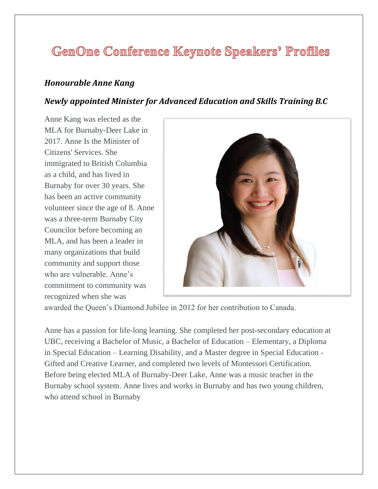# GenOne Conference Keynote Speakers' Profiles

### *Honourable Anne Kang*

### *Newly appointed Minister for Advanced Education and Skills Training B.C*

Anne Kang was elected as the MLA for Burnaby-Deer Lake in 2017. Anne Is the Minister of Citizens' Services. She immigrated to British Columbia as a child, and has lived in Burnaby for over 30 years. She has been an active community volunteer since the age of 8. Anne was a three-term Burnaby City Councilor before becoming an MLA, and has been a leader in many organizations that build community and support those who are vulnerable. Anne's commitment to community was recognized when she was



awarded the Queen's Diamond Jubilee in 2012 for her contribution to Canada.

Anne has a passion for life-long learning. She completed her post-secondary education at UBC, receiving a Bachelor of Music, a Bachelor of Education – Elementary, a Diploma in Special Education – Learning Disability, and a Master degree in Special Education - Gifted and Creative Learner, and completed two levels of Montessori Certification. Before being elected MLA of Burnaby-Deer Lake, Anne was a music teacher in the Burnaby school system. Anne lives and works in Burnaby and has two young children, who attend school in Burnaby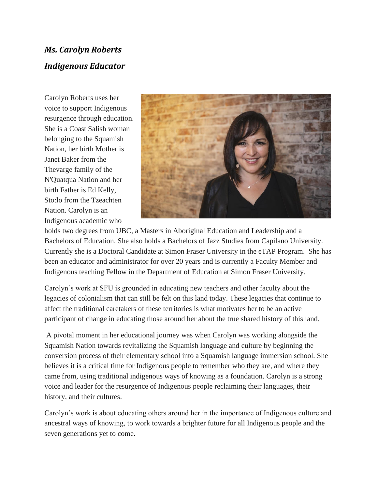## *Ms. Carolyn Roberts Indigenous Educator*

Carolyn Roberts uses her voice to support Indigenous resurgence through education. She is a Coast Salish woman belonging to the Squamish Nation, her birth Mother is Janet Baker from the Thevarge family of the N'Quatqua Nation and her birth Father is Ed Kelly, Sto:lo from the Tzeachten Nation. Carolyn is an Indigenous academic who



holds two degrees from UBC, a Masters in Aboriginal Education and Leadership and a Bachelors of Education. She also holds a Bachelors of Jazz Studies from Capilano University. Currently she is a Doctoral Candidate at Simon Fraser University in the eTAP Program. She has been an educator and administrator for over 20 years and is currently a Faculty Member and Indigenous teaching Fellow in the Department of Education at Simon Fraser University.

Carolyn's work at SFU is grounded in educating new teachers and other faculty about the legacies of colonialism that can still be felt on this land today. These legacies that continue to affect the traditional caretakers of these territories is what motivates her to be an active participant of change in educating those around her about the true shared history of this land.

A pivotal moment in her educational journey was when Carolyn was working alongside the Squamish Nation towards revitalizing the Squamish language and culture by beginning the conversion process of their elementary school into a Squamish language immersion school. She believes it is a critical time for Indigenous people to remember who they are, and where they came from, using traditional indigenous ways of knowing as a foundation. Carolyn is a strong voice and leader for the resurgence of Indigenous people reclaiming their languages, their history, and their cultures.

Carolyn's work is about educating others around her in the importance of Indigenous culture and ancestral ways of knowing, to work towards a brighter future for all Indigenous people and the seven generations yet to come.